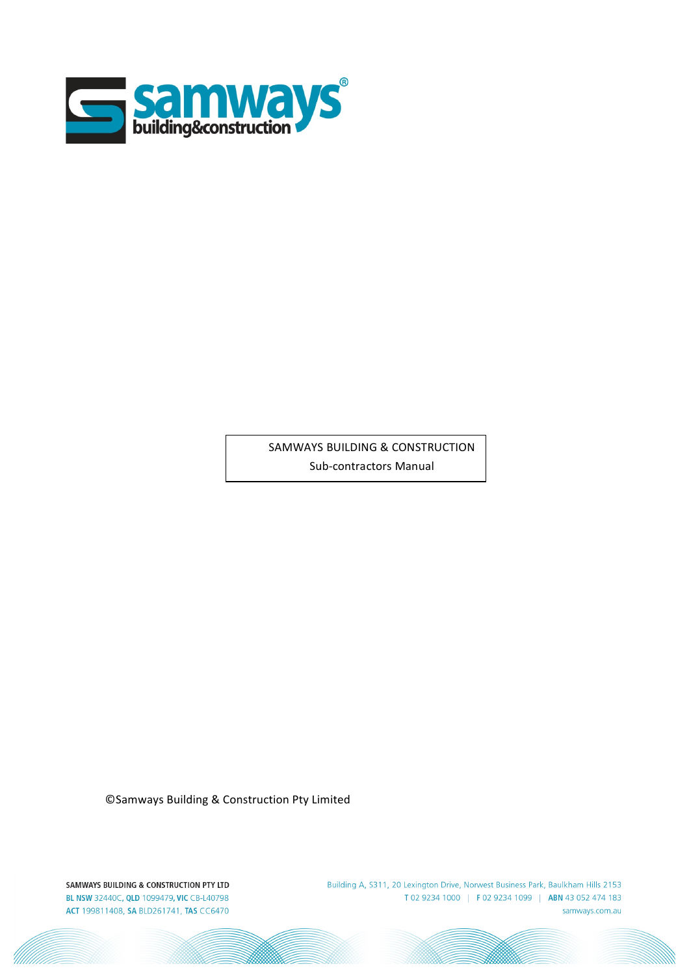

SAMWAYS BUILDING & CONSTRUCTION Sub-contractors Manual

©Samways Building & Construction Pty Limited

SAMWAYS BUILDING & CONSTRUCTION PTY LTD BL NSW 32440C, QLD 1099479, VIC CB-L40798 ACT 199811408, SA BLD261741, TAS CC6470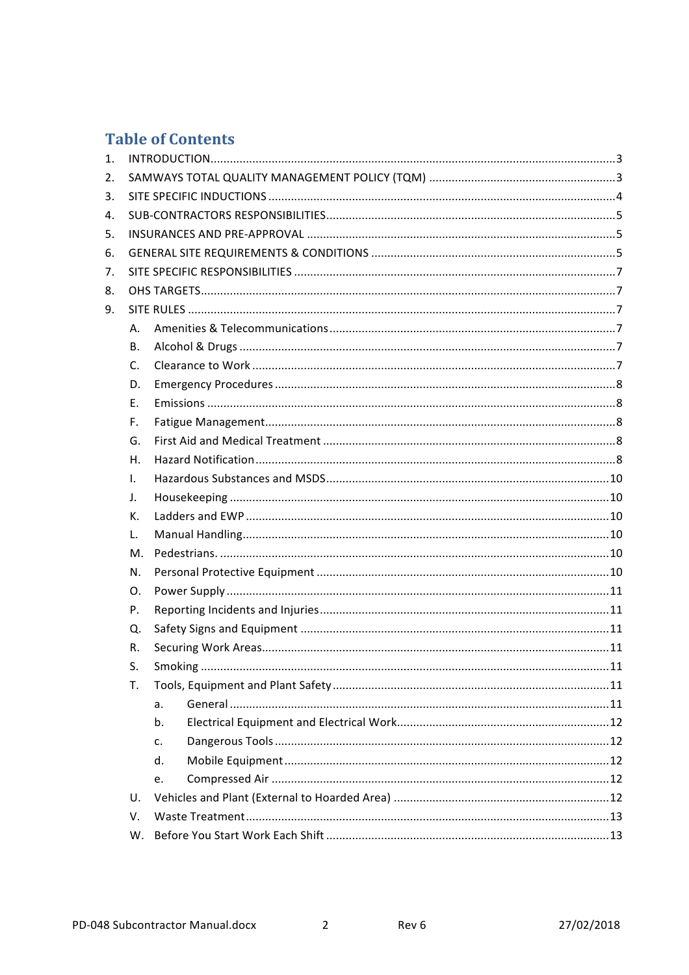# **Table of Contents**

| 1. |                |    |  |
|----|----------------|----|--|
| 2. |                |    |  |
| 3. |                |    |  |
| 4. |                |    |  |
| 5. |                |    |  |
| 6. |                |    |  |
| 7. |                |    |  |
| 8. |                |    |  |
| 9. |                |    |  |
|    | Α.             |    |  |
|    | В.             |    |  |
|    | $C_{\cdot}$    |    |  |
|    | D.             |    |  |
|    | Ε.             |    |  |
|    | $F_{\rm{H}}$   |    |  |
|    | G.             |    |  |
|    | Η.             |    |  |
|    | $\mathbf{I}$ . |    |  |
|    | $\mathsf{J}$ . |    |  |
|    | К.             |    |  |
|    | L.             |    |  |
|    | Μ.             |    |  |
|    | N.             |    |  |
|    | $\Omega$ .     |    |  |
|    | Ρ.             |    |  |
|    | Q.             |    |  |
|    | R.             |    |  |
|    | S.             |    |  |
|    | T.             |    |  |
|    |                | a. |  |
|    |                | b. |  |
|    |                | c. |  |
|    |                | d. |  |
|    |                | e. |  |
|    | U.             |    |  |
|    | V.             |    |  |
|    | W.             |    |  |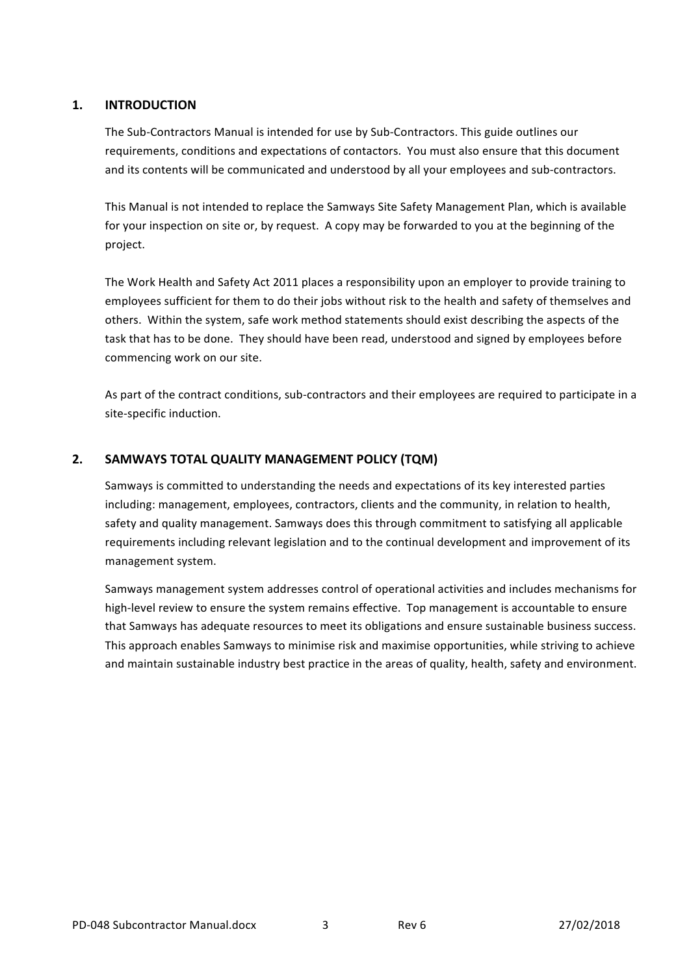# **1. INTRODUCTION**

The Sub-Contractors Manual is intended for use by Sub-Contractors. This guide outlines our requirements, conditions and expectations of contactors. You must also ensure that this document and its contents will be communicated and understood by all your employees and sub-contractors.

This Manual is not intended to replace the Samways Site Safety Management Plan, which is available for your inspection on site or, by request. A copy may be forwarded to you at the beginning of the project.

The Work Health and Safety Act 2011 places a responsibility upon an employer to provide training to employees sufficient for them to do their jobs without risk to the health and safety of themselves and others. Within the system, safe work method statements should exist describing the aspects of the task that has to be done. They should have been read, understood and signed by employees before commencing work on our site.

As part of the contract conditions, sub-contractors and their employees are required to participate in a site-specific induction.

# 2. SAMWAYS TOTAL QUALITY MANAGEMENT POLICY (TQM)

Samways is committed to understanding the needs and expectations of its key interested parties including: management, employees, contractors, clients and the community, in relation to health, safety and quality management. Samways does this through commitment to satisfying all applicable requirements including relevant legislation and to the continual development and improvement of its management system.

Samways management system addresses control of operational activities and includes mechanisms for high-level review to ensure the system remains effective. Top management is accountable to ensure that Samways has adequate resources to meet its obligations and ensure sustainable business success. This approach enables Samways to minimise risk and maximise opportunities, while striving to achieve and maintain sustainable industry best practice in the areas of quality, health, safety and environment.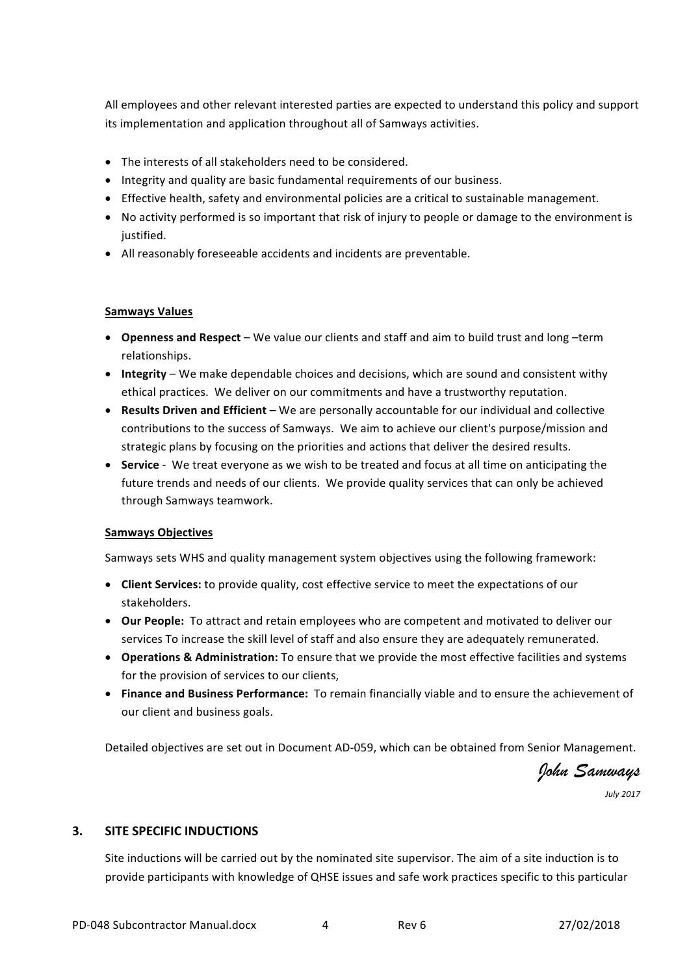All employees and other relevant interested parties are expected to understand this policy and support its implementation and application throughout all of Samways activities.

- $\bullet$  The interests of all stakeholders need to be considered.
- Integrity and quality are basic fundamental requirements of our business.
- Effective health, safety and environmental policies are a critical to sustainable management.
- No activity performed is so important that risk of injury to people or damage to the environment is justified.
- All reasonably foreseeable accidents and incidents are preventable.

#### **Samways Values**

- **Openness and Respect** We value our clients and staff and aim to build trust and long –term relationships.
- **Integrity** We make dependable choices and decisions, which are sound and consistent withy ethical practices. We deliver on our commitments and have a trustworthy reputation.
- Results Driven and Efficient We are personally accountable for our individual and collective contributions to the success of Samways. We aim to achieve our client's purpose/mission and strategic plans by focusing on the priorities and actions that deliver the desired results.
- **Service** We treat everyone as we wish to be treated and focus at all time on anticipating the future trends and needs of our clients. We provide quality services that can only be achieved through Samways teamwork.

## **Samways Objectives**

Samways sets WHS and quality management system objectives using the following framework:

- Client Services: to provide quality, cost effective service to meet the expectations of our stakeholders.
- Our People: To attract and retain employees who are competent and motivated to deliver our services To increase the skill level of staff and also ensure they are adequately remunerated.
- **Operations & Administration:** To ensure that we provide the most effective facilities and systems for the provision of services to our clients,
- Finance and Business Performance: To remain financially viable and to ensure the achievement of our client and business goals.

Detailed objectives are set out in Document AD-059, which can be obtained from Senior Management.

*John Samways*

*July 2017*

## **3.** SITE SPECIFIC INDUCTIONS

Site inductions will be carried out by the nominated site supervisor. The aim of a site induction is to provide participants with knowledge of QHSE issues and safe work practices specific to this particular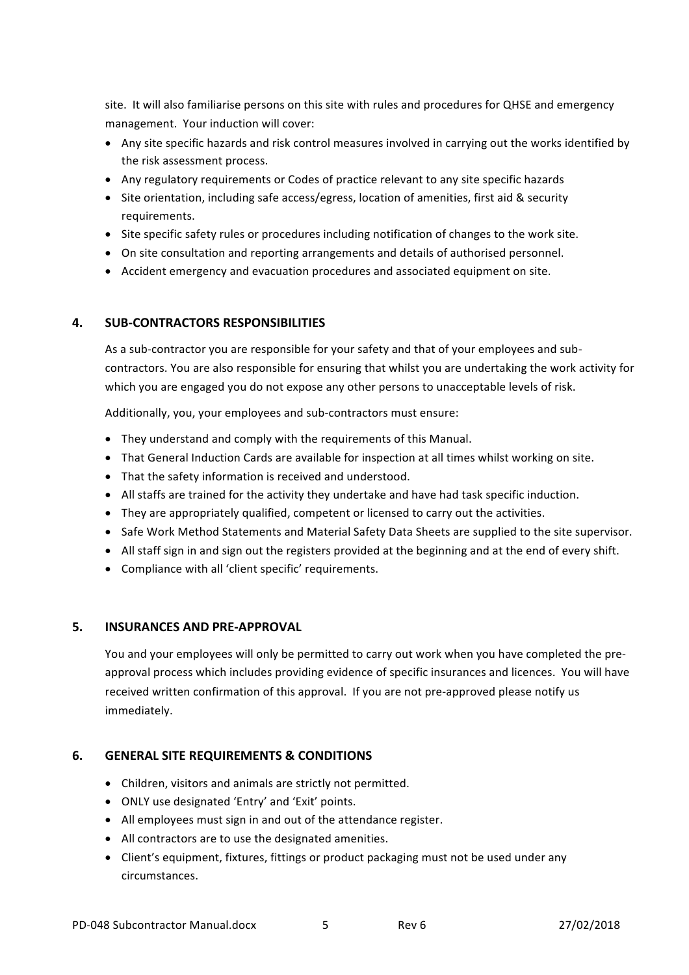site. It will also familiarise persons on this site with rules and procedures for QHSE and emergency management. Your induction will cover:

- Any site specific hazards and risk control measures involved in carrying out the works identified by the risk assessment process.
- Any regulatory requirements or Codes of practice relevant to any site specific hazards
- Site orientation, including safe access/egress, location of amenities, first aid & security requirements.
- Site specific safety rules or procedures including notification of changes to the work site.
- On site consultation and reporting arrangements and details of authorised personnel.
- Accident emergency and evacuation procedures and associated equipment on site.

# **4. SUB-CONTRACTORS RESPONSIBILITIES**

As a sub-contractor you are responsible for your safety and that of your employees and subcontractors. You are also responsible for ensuring that whilst you are undertaking the work activity for which you are engaged you do not expose any other persons to unacceptable levels of risk.

Additionally, you, your employees and sub-contractors must ensure:

- They understand and comply with the requirements of this Manual.
- That General Induction Cards are available for inspection at all times whilst working on site.
- That the safety information is received and understood.
- All staffs are trained for the activity they undertake and have had task specific induction.
- They are appropriately qualified, competent or licensed to carry out the activities.
- Safe Work Method Statements and Material Safety Data Sheets are supplied to the site supervisor.
- All staff sign in and sign out the registers provided at the beginning and at the end of every shift.
- Compliance with all 'client specific' requirements.

## **5. INSURANCES AND PRE-APPROVAL**

You and your employees will only be permitted to carry out work when you have completed the preapproval process which includes providing evidence of specific insurances and licences. You will have received written confirmation of this approval. If you are not pre-approved please notify us immediately.

# **6. GENERAL SITE REQUIREMENTS & CONDITIONS**

- Children, visitors and animals are strictly not permitted.
- ONLY use designated 'Entry' and 'Exit' points.
- All employees must sign in and out of the attendance register.
- All contractors are to use the designated amenities.
- Client's equipment, fixtures, fittings or product packaging must not be used under any circumstances.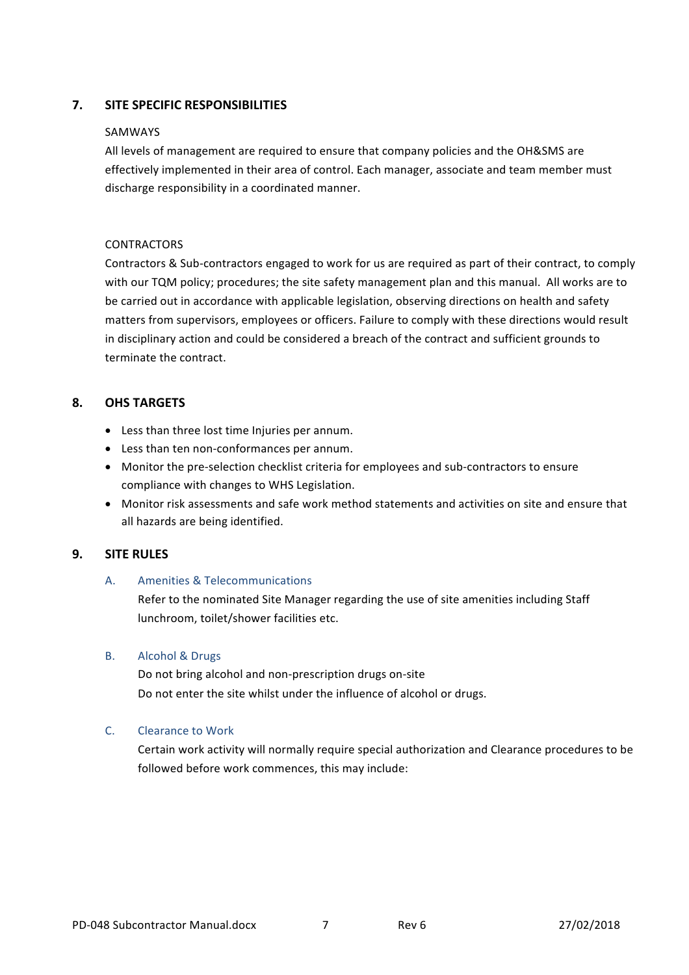# **7.** SITE SPECIFIC RESPONSIBILITIES

#### SAMWAYS

All levels of management are required to ensure that company policies and the OH&SMS are effectively implemented in their area of control. Each manager, associate and team member must discharge responsibility in a coordinated manner.

#### **CONTRACTORS**

Contractors & Sub-contractors engaged to work for us are required as part of their contract, to comply with our TQM policy; procedures; the site safety management plan and this manual. All works are to be carried out in accordance with applicable legislation, observing directions on health and safety matters from supervisors, employees or officers. Failure to comply with these directions would result in disciplinary action and could be considered a breach of the contract and sufficient grounds to terminate the contract.

# **8. OHS TARGETS**

- Less than three lost time Injuries per annum.
- Less than ten non-conformances per annum.
- Monitor the pre-selection checklist criteria for employees and sub-contractors to ensure compliance with changes to WHS Legislation.
- Monitor risk assessments and safe work method statements and activities on site and ensure that all hazards are being identified.

## **9. SITE RULES**

## A. Amenities & Telecommunications

Refer to the nominated Site Manager regarding the use of site amenities including Staff lunchroom, toilet/shower facilities etc.

#### B. Alcohol & Drugs

Do not bring alcohol and non-prescription drugs on-site Do not enter the site whilst under the influence of alcohol or drugs.

## C. Clearance to Work

Certain work activity will normally require special authorization and Clearance procedures to be followed before work commences, this may include: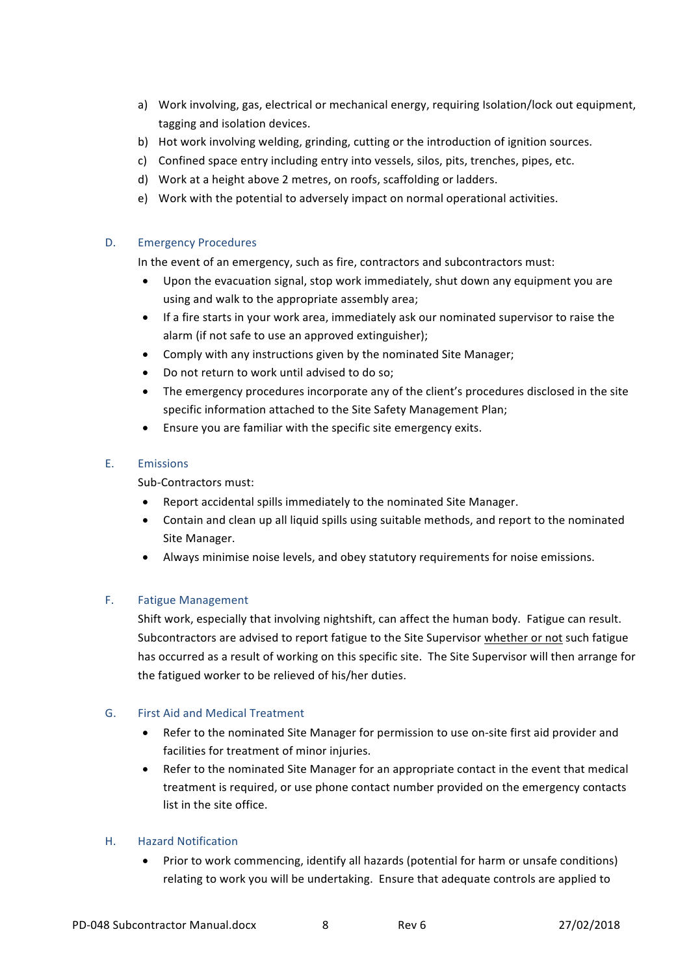- a) Work involving, gas, electrical or mechanical energy, requiring Isolation/lock out equipment, tagging and isolation devices.
- b) Hot work involving welding, grinding, cutting or the introduction of ignition sources.
- c) Confined space entry including entry into vessels, silos, pits, trenches, pipes, etc.
- d) Work at a height above 2 metres, on roofs, scaffolding or ladders.
- e) Work with the potential to adversely impact on normal operational activities.

## D. Emergency Procedures

In the event of an emergency, such as fire, contractors and subcontractors must:

- Upon the evacuation signal, stop work immediately, shut down any equipment you are using and walk to the appropriate assembly area:
- If a fire starts in your work area, immediately ask our nominated supervisor to raise the alarm (if not safe to use an approved extinguisher);
- Comply with any instructions given by the nominated Site Manager;
- Do not return to work until advised to do so;
- The emergency procedures incorporate any of the client's procedures disclosed in the site specific information attached to the Site Safety Management Plan;
- $\bullet$  Ensure you are familiar with the specific site emergency exits.

# E. Emissions

Sub-Contractors must:

- Report accidental spills immediately to the nominated Site Manager.
- Contain and clean up all liquid spills using suitable methods, and report to the nominated Site Manager.
- Always minimise noise levels, and obey statutory requirements for noise emissions.

## F. Fatigue Management

Shift work, especially that involving nightshift, can affect the human body. Fatigue can result. Subcontractors are advised to report fatigue to the Site Supervisor whether or not such fatigue has occurred as a result of working on this specific site. The Site Supervisor will then arrange for the fatigued worker to be relieved of his/her duties.

## G. First Aid and Medical Treatment

- Refer to the nominated Site Manager for permission to use on-site first aid provider and facilities for treatment of minor injuries.
- Refer to the nominated Site Manager for an appropriate contact in the event that medical treatment is required, or use phone contact number provided on the emergency contacts list in the site office.

## H. Hazard Notification

Prior to work commencing, identify all hazards (potential for harm or unsafe conditions) relating to work you will be undertaking. Ensure that adequate controls are applied to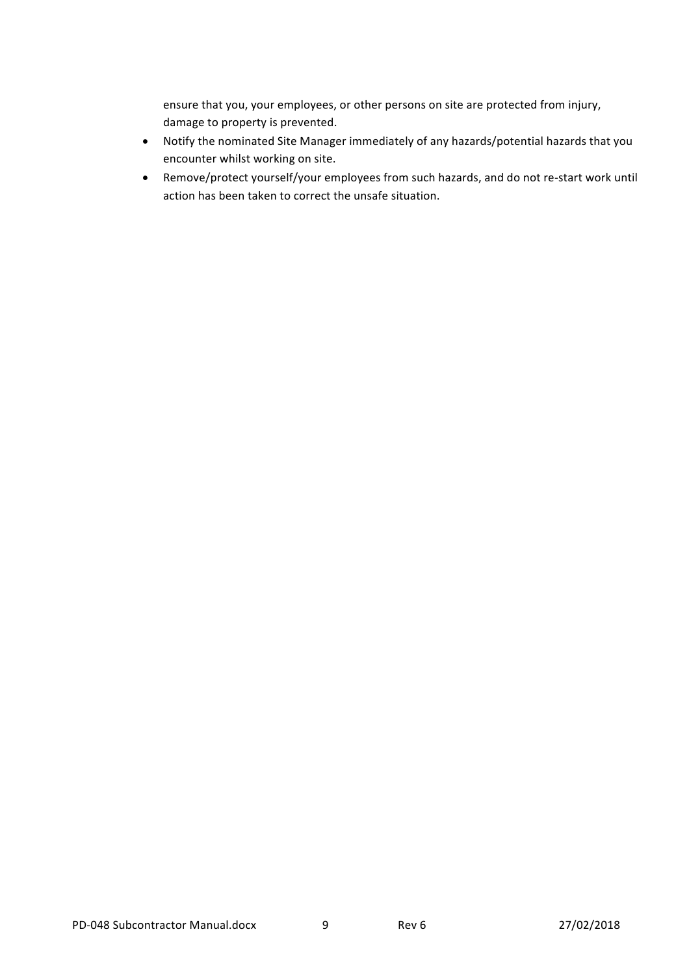ensure that you, your employees, or other persons on site are protected from injury, damage to property is prevented.

- Notify the nominated Site Manager immediately of any hazards/potential hazards that you encounter whilst working on site.
- Remove/protect yourself/your employees from such hazards, and do not re-start work until action has been taken to correct the unsafe situation.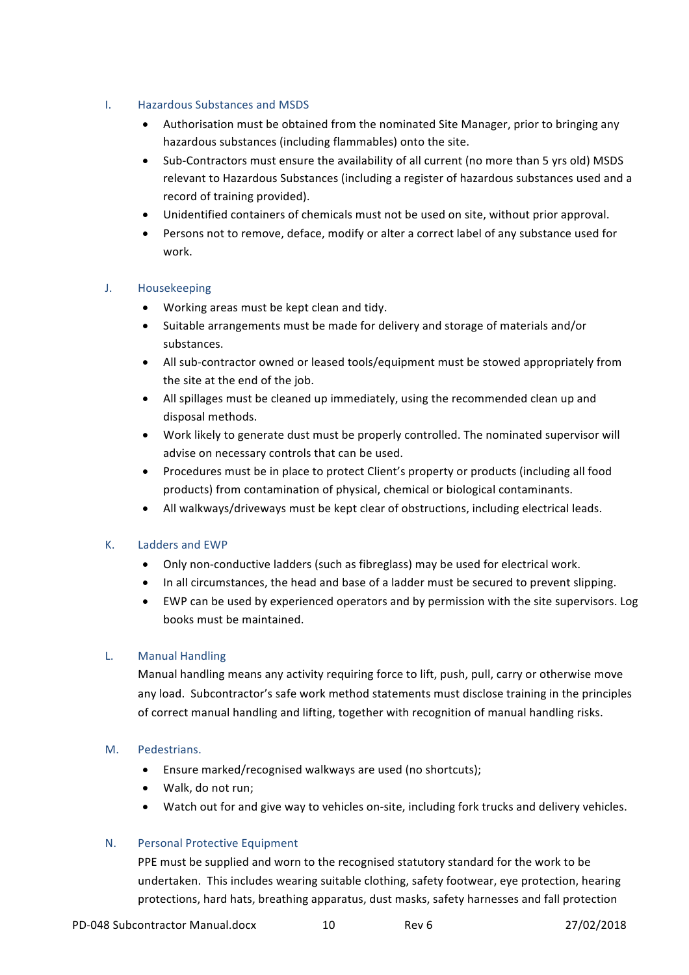## I. Hazardous Substances and MSDS

- Authorisation must be obtained from the nominated Site Manager, prior to bringing any hazardous substances (including flammables) onto the site.
- Sub-Contractors must ensure the availability of all current (no more than 5 yrs old) MSDS relevant to Hazardous Substances (including a register of hazardous substances used and a record of training provided).
- Unidentified containers of chemicals must not be used on site, without prior approval.
- Persons not to remove, deface, modify or alter a correct label of any substance used for work.

## J. Housekeeping

- Working areas must be kept clean and tidy.
- Suitable arrangements must be made for delivery and storage of materials and/or substances.
- All sub-contractor owned or leased tools/equipment must be stowed appropriately from the site at the end of the job.
- All spillages must be cleaned up immediately, using the recommended clean up and disposal methods.
- Work likely to generate dust must be properly controlled. The nominated supervisor will advise on necessary controls that can be used.
- Procedures must be in place to protect Client's property or products (including all food products) from contamination of physical, chemical or biological contaminants.
- All walkways/driveways must be kept clear of obstructions, including electrical leads.

## K. Ladders and EWP

- Only non-conductive ladders (such as fibreglass) may be used for electrical work.
- In all circumstances, the head and base of a ladder must be secured to prevent slipping.
- EWP can be used by experienced operators and by permission with the site supervisors. Log books must be maintained.

## L. Manual Handling

Manual handling means any activity requiring force to lift, push, pull, carry or otherwise move any load. Subcontractor's safe work method statements must disclose training in the principles of correct manual handling and lifting, together with recognition of manual handling risks.

#### M. Pedestrians.

- Ensure marked/recognised walkways are used (no shortcuts);
- Walk, do not run;
- Watch out for and give way to vehicles on-site, including fork trucks and delivery vehicles.

#### N. Personal Protective Equipment

PPE must be supplied and worn to the recognised statutory standard for the work to be undertaken. This includes wearing suitable clothing, safety footwear, eye protection, hearing protections, hard hats, breathing apparatus, dust masks, safety harnesses and fall protection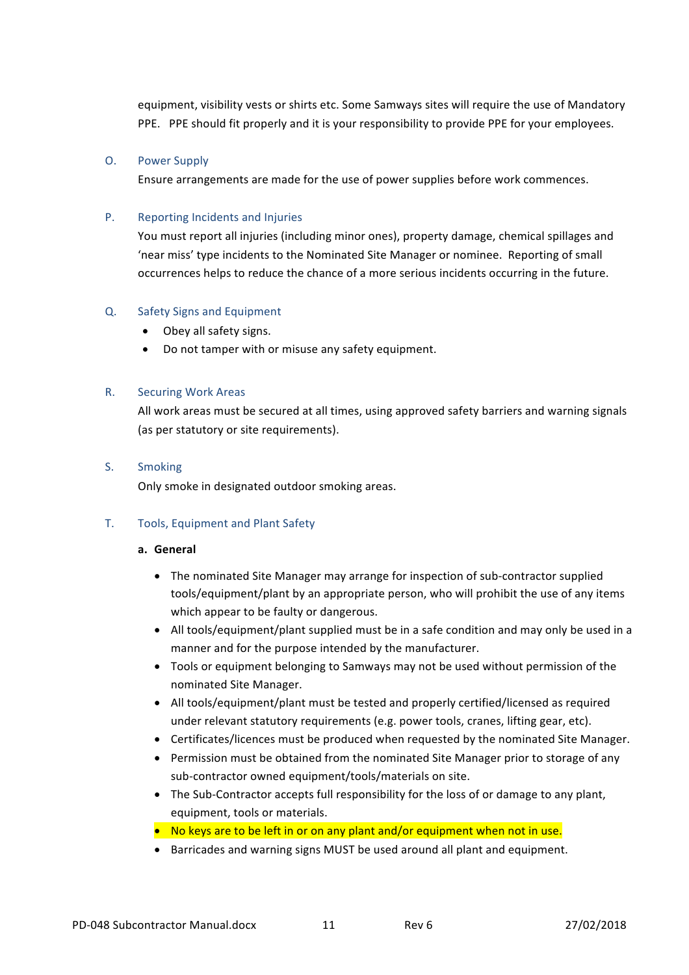equipment, visibility vests or shirts etc. Some Samways sites will require the use of Mandatory PPE. PPE should fit properly and it is your responsibility to provide PPE for your employees.

#### O. Power Supply

Ensure arrangements are made for the use of power supplies before work commences.

#### P. Reporting Incidents and Injuries

You must report all injuries (including minor ones), property damage, chemical spillages and 'near miss' type incidents to the Nominated Site Manager or nominee. Reporting of small occurrences helps to reduce the chance of a more serious incidents occurring in the future.

#### Q. Safety Signs and Equipment

- Obey all safety signs.
- Do not tamper with or misuse any safety equipment.

#### R. Securing Work Areas

All work areas must be secured at all times, using approved safety barriers and warning signals (as per statutory or site requirements).

#### S. Smoking

Only smoke in designated outdoor smoking areas.

## T. Tools, Equipment and Plant Safety

#### **a. General**

- The nominated Site Manager may arrange for inspection of sub-contractor supplied tools/equipment/plant by an appropriate person, who will prohibit the use of any items which appear to be faulty or dangerous.
- All tools/equipment/plant supplied must be in a safe condition and may only be used in a manner and for the purpose intended by the manufacturer.
- Tools or equipment belonging to Samways may not be used without permission of the nominated Site Manager.
- All tools/equipment/plant must be tested and properly certified/licensed as required under relevant statutory requirements (e.g. power tools, cranes, lifting gear, etc).
- Certificates/licences must be produced when requested by the nominated Site Manager.
- Permission must be obtained from the nominated Site Manager prior to storage of any sub-contractor owned equipment/tools/materials on site.
- The Sub-Contractor accepts full responsibility for the loss of or damage to any plant, equipment, tools or materials.
- No keys are to be left in or on any plant and/or equipment when not in use.
- Barricades and warning signs MUST be used around all plant and equipment.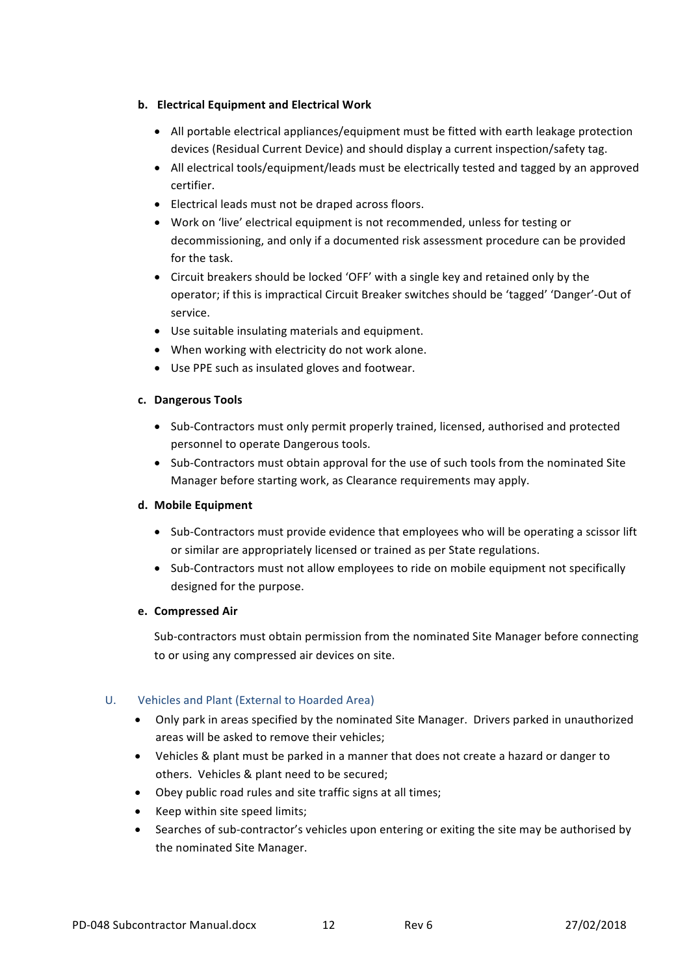#### **b. Electrical Equipment and Electrical Work**

- All portable electrical appliances/equipment must be fitted with earth leakage protection devices (Residual Current Device) and should display a current inspection/safety tag.
- All electrical tools/equipment/leads must be electrically tested and tagged by an approved certifier.
- Electrical leads must not be draped across floors.
- Work on 'live' electrical equipment is not recommended, unless for testing or decommissioning, and only if a documented risk assessment procedure can be provided for the task.
- Circuit breakers should be locked 'OFF' with a single key and retained only by the operator; if this is impractical Circuit Breaker switches should be 'tagged' 'Danger'-Out of service.
- Use suitable insulating materials and equipment.
- When working with electricity do not work alone.
- Use PPE such as insulated gloves and footwear.

## **c. Dangerous Tools**

- Sub-Contractors must only permit properly trained, licensed, authorised and protected personnel to operate Dangerous tools.
- Sub-Contractors must obtain approval for the use of such tools from the nominated Site Manager before starting work, as Clearance requirements may apply.

## **d. Mobile Equipment**

- Sub-Contractors must provide evidence that employees who will be operating a scissor lift or similar are appropriately licensed or trained as per State regulations.
- Sub-Contractors must not allow employees to ride on mobile equipment not specifically designed for the purpose.

## **e. Compressed Air**

Sub-contractors must obtain permission from the nominated Site Manager before connecting to or using any compressed air devices on site.

# U. Vehicles and Plant (External to Hoarded Area)

- Only park in areas specified by the nominated Site Manager. Drivers parked in unauthorized areas will be asked to remove their vehicles;
- Vehicles & plant must be parked in a manner that does not create a hazard or danger to others. Vehicles & plant need to be secured;
- Obey public road rules and site traffic signs at all times;
- Keep within site speed limits;
- Searches of sub-contractor's vehicles upon entering or exiting the site may be authorised by the nominated Site Manager.